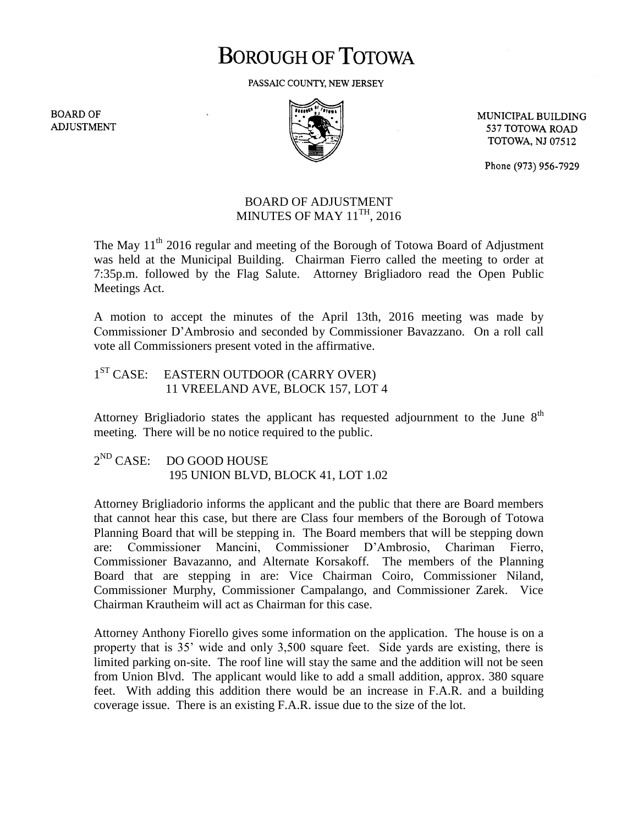## **BOROUGH OF TOTOWA**

PASSAIC COUNTY, NEW JERSEY

**BOARD OF ADJUSTMENT** 



MUNICIPAL BUILDING 537 TOTOWA ROAD **TOTOWA, NJ 07512** 

Phone (973) 956-7929

## BOARD OF ADJUSTMENT MINUTES OF MAY  $11^{\mathrm{TH}}$ , 2016

The May  $11<sup>th</sup>$  2016 regular and meeting of the Borough of Totowa Board of Adjustment was held at the Municipal Building. Chairman Fierro called the meeting to order at 7:35p.m. followed by the Flag Salute. Attorney Brigliadoro read the Open Public Meetings Act.

A motion to accept the minutes of the April 13th, 2016 meeting was made by Commissioner D'Ambrosio and seconded by Commissioner Bavazzano. On a roll call vote all Commissioners present voted in the affirmative.

1<sup>ST</sup> CASE: EASTERN OUTDOOR (CARRY OVER) 11 VREELAND AVE, BLOCK 157, LOT 4

Attorney Brigliadorio states the applicant has requested adjournment to the June  $8<sup>th</sup>$ meeting. There will be no notice required to the public.

 $2^{ND}$  CASE: DO GOOD HOUSE 195 UNION BLVD, BLOCK 41, LOT 1.02

Attorney Brigliadorio informs the applicant and the public that there are Board members that cannot hear this case, but there are Class four members of the Borough of Totowa Planning Board that will be stepping in. The Board members that will be stepping down are: Commissioner Mancini, Commissioner D'Ambrosio, Chariman Fierro, Commissioner Bavazanno, and Alternate Korsakoff. The members of the Planning Board that are stepping in are: Vice Chairman Coiro, Commissioner Niland, Commissioner Murphy, Commissioner Campalango, and Commissioner Zarek. Vice Chairman Krautheim will act as Chairman for this case.

Attorney Anthony Fiorello gives some information on the application. The house is on a property that is 35' wide and only 3,500 square feet. Side yards are existing, there is limited parking on-site. The roof line will stay the same and the addition will not be seen from Union Blvd. The applicant would like to add a small addition, approx. 380 square feet. With adding this addition there would be an increase in F.A.R. and a building coverage issue. There is an existing F.A.R. issue due to the size of the lot.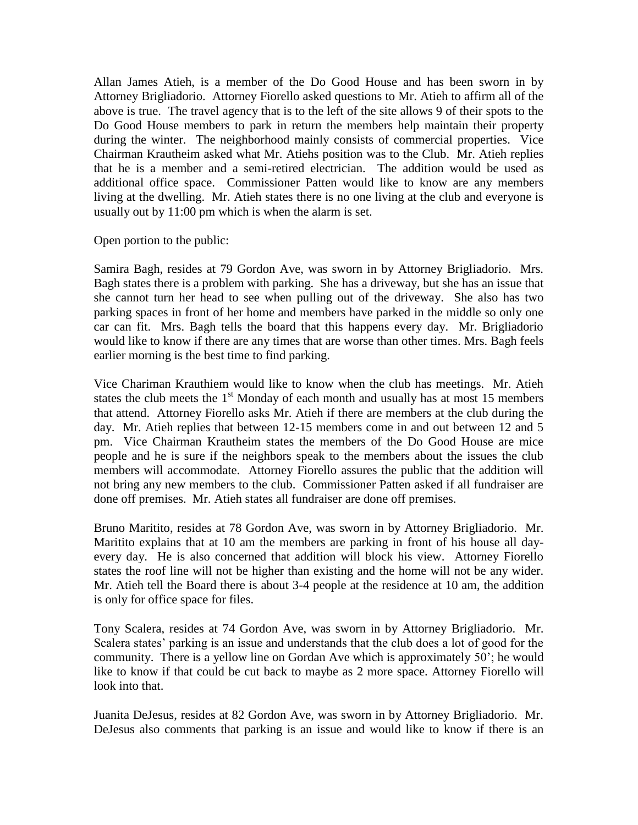Allan James Atieh, is a member of the Do Good House and has been sworn in by Attorney Brigliadorio. Attorney Fiorello asked questions to Mr. Atieh to affirm all of the above is true. The travel agency that is to the left of the site allows 9 of their spots to the Do Good House members to park in return the members help maintain their property during the winter. The neighborhood mainly consists of commercial properties. Vice Chairman Krautheim asked what Mr. Atiehs position was to the Club. Mr. Atieh replies that he is a member and a semi-retired electrician. The addition would be used as additional office space. Commissioner Patten would like to know are any members living at the dwelling. Mr. Atieh states there is no one living at the club and everyone is usually out by 11:00 pm which is when the alarm is set.

Open portion to the public:

Samira Bagh, resides at 79 Gordon Ave, was sworn in by Attorney Brigliadorio. Mrs. Bagh states there is a problem with parking. She has a driveway, but she has an issue that she cannot turn her head to see when pulling out of the driveway. She also has two parking spaces in front of her home and members have parked in the middle so only one car can fit. Mrs. Bagh tells the board that this happens every day. Mr. Brigliadorio would like to know if there are any times that are worse than other times. Mrs. Bagh feels earlier morning is the best time to find parking.

Vice Chariman Krauthiem would like to know when the club has meetings. Mr. Atieh states the club meets the  $1<sup>st</sup>$  Monday of each month and usually has at most 15 members that attend. Attorney Fiorello asks Mr. Atieh if there are members at the club during the day. Mr. Atieh replies that between 12-15 members come in and out between 12 and 5 pm. Vice Chairman Krautheim states the members of the Do Good House are mice people and he is sure if the neighbors speak to the members about the issues the club members will accommodate. Attorney Fiorello assures the public that the addition will not bring any new members to the club. Commissioner Patten asked if all fundraiser are done off premises. Mr. Atieh states all fundraiser are done off premises.

Bruno Maritito, resides at 78 Gordon Ave, was sworn in by Attorney Brigliadorio. Mr. Maritito explains that at 10 am the members are parking in front of his house all dayevery day. He is also concerned that addition will block his view. Attorney Fiorello states the roof line will not be higher than existing and the home will not be any wider. Mr. Atieh tell the Board there is about 3-4 people at the residence at 10 am, the addition is only for office space for files.

Tony Scalera, resides at 74 Gordon Ave, was sworn in by Attorney Brigliadorio. Mr. Scalera states' parking is an issue and understands that the club does a lot of good for the community. There is a yellow line on Gordan Ave which is approximately 50'; he would like to know if that could be cut back to maybe as 2 more space. Attorney Fiorello will look into that.

Juanita DeJesus, resides at 82 Gordon Ave, was sworn in by Attorney Brigliadorio. Mr. DeJesus also comments that parking is an issue and would like to know if there is an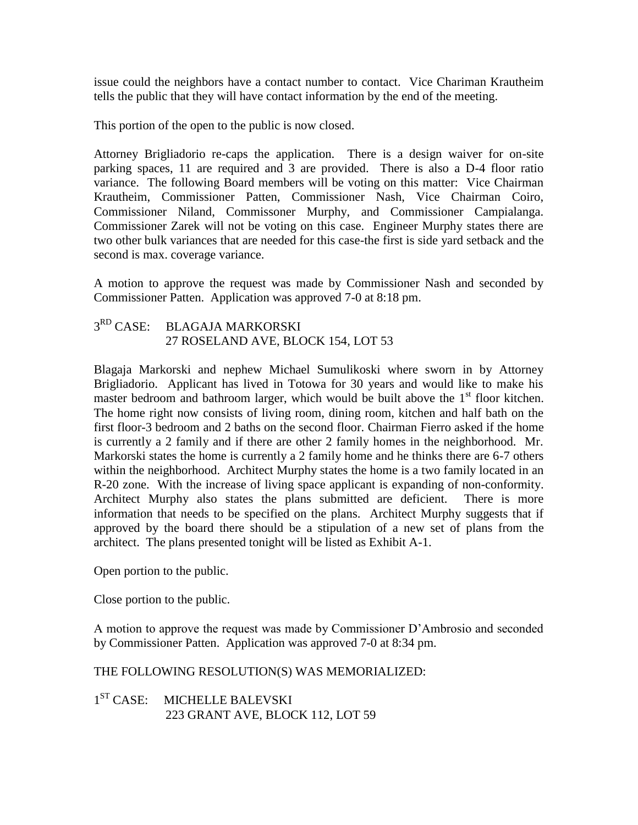issue could the neighbors have a contact number to contact. Vice Chariman Krautheim tells the public that they will have contact information by the end of the meeting.

This portion of the open to the public is now closed.

Attorney Brigliadorio re-caps the application. There is a design waiver for on-site parking spaces, 11 are required and 3 are provided. There is also a D-4 floor ratio variance. The following Board members will be voting on this matter: Vice Chairman Krautheim, Commissioner Patten, Commissioner Nash, Vice Chairman Coiro, Commissioner Niland, Commissoner Murphy, and Commissioner Campialanga. Commissioner Zarek will not be voting on this case. Engineer Murphy states there are two other bulk variances that are needed for this case-the first is side yard setback and the second is max. coverage variance.

A motion to approve the request was made by Commissioner Nash and seconded by Commissioner Patten. Application was approved 7-0 at 8:18 pm.

## 3<sup>RD</sup> CASE: BLAGAJA MARKORSKI 27 ROSELAND AVE, BLOCK 154, LOT 53

Blagaja Markorski and nephew Michael Sumulikoski where sworn in by Attorney Brigliadorio. Applicant has lived in Totowa for 30 years and would like to make his master bedroom and bathroom larger, which would be built above the  $1<sup>st</sup>$  floor kitchen. The home right now consists of living room, dining room, kitchen and half bath on the first floor-3 bedroom and 2 baths on the second floor. Chairman Fierro asked if the home is currently a 2 family and if there are other 2 family homes in the neighborhood. Mr. Markorski states the home is currently a 2 family home and he thinks there are 6-7 others within the neighborhood. Architect Murphy states the home is a two family located in an R-20 zone. With the increase of living space applicant is expanding of non-conformity. Architect Murphy also states the plans submitted are deficient. There is more information that needs to be specified on the plans. Architect Murphy suggests that if approved by the board there should be a stipulation of a new set of plans from the architect. The plans presented tonight will be listed as Exhibit A-1.

Open portion to the public.

Close portion to the public.

A motion to approve the request was made by Commissioner D'Ambrosio and seconded by Commissioner Patten. Application was approved 7-0 at 8:34 pm.

## THE FOLLOWING RESOLUTION(S) WAS MEMORIALIZED:

1<sup>ST</sup> CASE: MICHELLE BALEVSKI 223 GRANT AVE, BLOCK 112, LOT 59